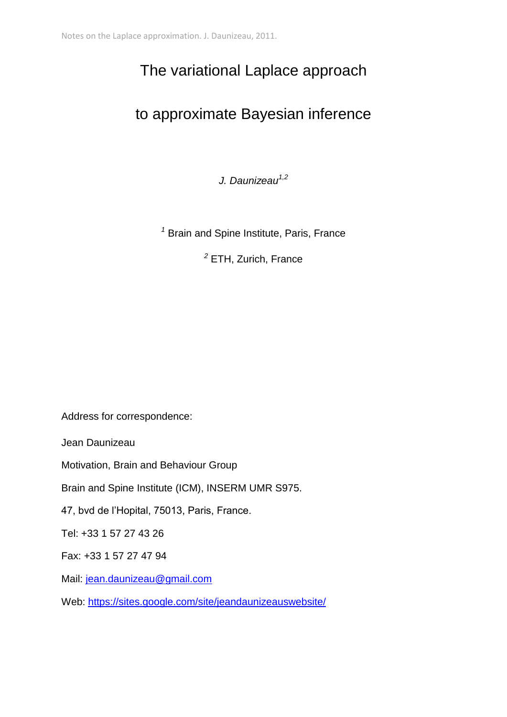# The variational Laplace approach

## to approximate Bayesian inference

*J. Daunizeau1,2*

*<sup>1</sup>* Brain and Spine Institute, Paris, France

*<sup>2</sup>* ETH, Zurich, France

Address for correspondence:

Jean Daunizeau

Motivation, Brain and Behaviour Group

Brain and Spine Institute (ICM), INSERM UMR S975.

47, bvd de l'Hopital, 75013, Paris, France.

Tel: +33 1 57 27 43 26

Fax: +33 1 57 27 47 94

Mail: [jean.daunizeau@gmail.com](mailto:marie.devaine@gmail.com)

Web:<https://sites.google.com/site/jeandaunizeauswebsite/>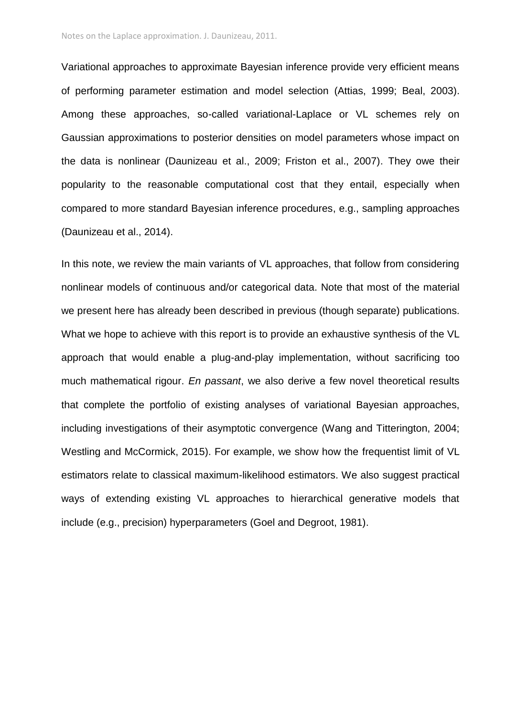Variational approaches to approximate Bayesian inference provide very efficient means of performing parameter estimation and model selection (Attias, 1999; Beal, 2003). Among these approaches, so-called variational-Laplace or VL schemes rely on Gaussian approximations to posterior densities on model parameters whose impact on the data is nonlinear (Daunizeau et al., 2009; Friston et al., 2007). They owe their popularity to the reasonable computational cost that they entail, especially when compared to more standard Bayesian inference procedures, e.g., sampling approaches (Daunizeau et al., 2014).

In this note, we review the main variants of VL approaches, that follow from considering nonlinear models of continuous and/or categorical data. Note that most of the material we present here has already been described in previous (though separate) publications. What we hope to achieve with this report is to provide an exhaustive synthesis of the VL approach that would enable a plug-and-play implementation, without sacrificing too much mathematical rigour. *En passant*, we also derive a few novel theoretical results that complete the portfolio of existing analyses of variational Bayesian approaches, including investigations of their asymptotic convergence (Wang and Titterington, 2004; Westling and McCormick, 2015). For example, we show how the frequentist limit of VL estimators relate to classical maximum-likelihood estimators. We also suggest practical ways of extending existing VL approaches to hierarchical generative models that include (e.g., precision) hyperparameters (Goel and Degroot, 1981).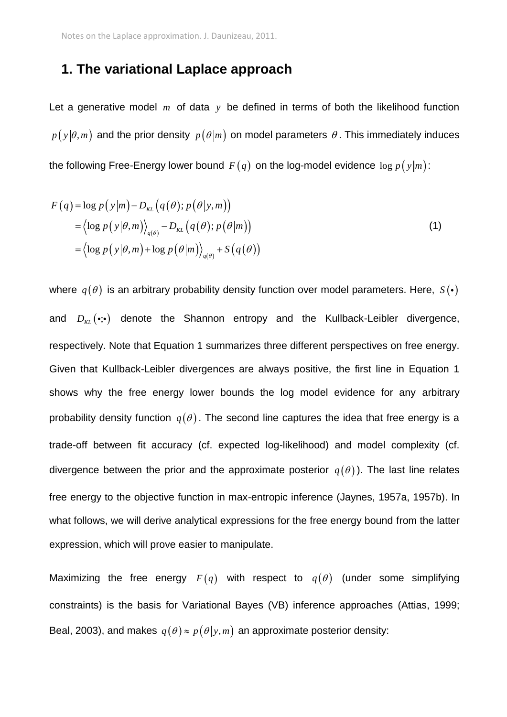### **1. The variational Laplace approach**

Let a generative model  $m$  of data  $y$  be defined in terms of both the likelihood function  $p$  (  $\mathrm{y}|\theta,m)$  and the prior density  $\,p\,(\theta|m)$  on model parameters  $\,\theta$  . This immediately induces the following Free-Energy lower bound  $\,F(q)\,$  on the log-model evidence  $\,\log p\,(\mathrm{y}|m)$ :

$$
F(q) = \log p(y|m) - D_{KL}(q(\theta); p(\theta|y,m))
$$
  
=  $\langle \log p(y|\theta,m) \rangle_{q(\theta)} - D_{KL}(q(\theta); p(\theta|m))$   
=  $\langle \log p(y|\theta,m) + \log p(\theta|m) \rangle_{q(\theta)} + S(q(\theta))$  (1)

where  $q(\theta)$  is an arbitrary probability density function over model parameters. Here,  $\,S(\bm{\cdot})\,$ and  $D_{_{KL}}(\cdot;\!\cdot)$  denote the Shannon entropy and the Kullback-Leibler divergence, respectively. Note that Equation 1 summarizes three different perspectives on free energy. Given that Kullback-Leibler divergences are always positive, the first line in Equation 1 shows why the free energy lower bounds the log model evidence for any arbitrary probability density function  $q(\theta)$ . The second line captures the idea that free energy is a trade-off between fit accuracy (cf. expected log-likelihood) and model complexity (cf. divergence between the prior and the approximate posterior  $q(\theta)$ ). The last line relates free energy to the objective function in max-entropic inference (Jaynes, 1957a, 1957b). In what follows, we will derive analytical expressions for the free energy bound from the latter expression, which will prove easier to manipulate.

Maximizing the free energy  $F(q)$  with respect to  $q(\theta)$  (under some simplifying constraints) is the basis for Variational Bayes (VB) inference approaches (Attias, 1999; Beal, 2003), and makes  $q(\theta) \approx p(\theta | y, m)$  an approximate posterior density: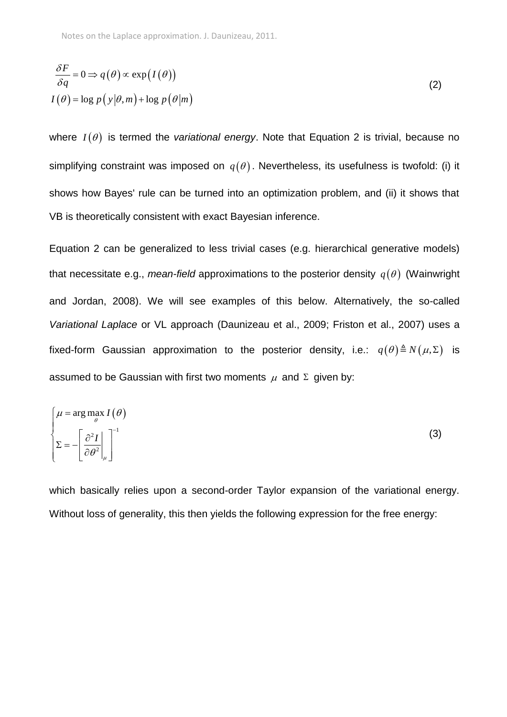$$
\frac{\delta F}{\delta q} = 0 \Rightarrow q(\theta) \propto \exp(I(\theta))
$$
  

$$
I(\theta) = \log p(y|\theta, m) + \log p(\theta|m)
$$
 (2)

where  $I(\theta)$  is termed the *variational energy*. Note that Equation 2 is trivial, because no simplifying constraint was imposed on  $q(\theta)$ . Nevertheless, its usefulness is twofold: (i) it shows how Bayes' rule can be turned into an optimization problem, and (ii) it shows that VB is theoretically consistent with exact Bayesian inference.

Equation 2 can be generalized to less trivial cases (e.g. hierarchical generative models) that necessitate e.g., *mean-field* approximations to the posterior density  $q(\theta)$  (Wainwright and Jordan, 2008). We will see examples of this below. Alternatively, the so-called *Variational Laplace* or VL approach (Daunizeau et al., 2009; Friston et al., 2007) uses a fixed-form Gaussian approximation to the posterior density, i.e.:  $q(\theta) \triangleq N(\mu, \Sigma)$  is assumed to be Gaussian with first two moments  $\,\mu\,$  and  $\,\Sigma\,$  given by:

$$
\begin{cases}\n\mu = \arg \max_{\theta} I(\theta) \\
\Sigma = -\left[\frac{\partial^2 I}{\partial \theta^2}\Big|_{\mu}\right]^{-1}\n\end{cases}
$$
\n(3)

which basically relies upon a second-order Taylor expansion of the variational energy. Without loss of generality, this then yields the following expression for the free energy: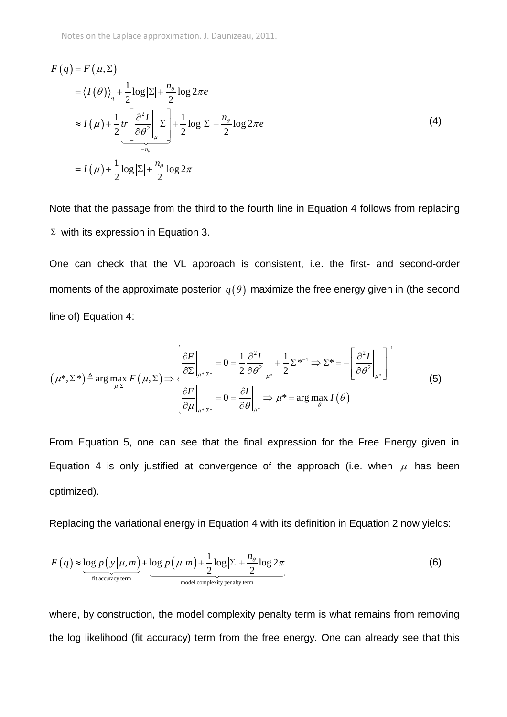Notes on the Laplace approximation. J. Daunizeau, 2011.

$$
F(q) = F(\mu, \Sigma)
$$
  
=  $\langle I(\theta) \rangle_q + \frac{1}{2} \log |\Sigma| + \frac{n_{\theta}}{2} \log 2\pi e$   

$$
\approx I(\mu) + \frac{1}{2} tr \left[ \frac{\partial^2 I}{\partial \theta^2} \Big|_{\mu} \Sigma \right] + \frac{1}{2} \log |\Sigma| + \frac{n_{\theta}}{2} \log 2\pi e
$$
  
=  $I(\mu) + \frac{1}{2} \log |\Sigma| + \frac{n_{\theta}}{2} \log 2\pi$  (4)

Note that the passage from the third to the fourth line in Equation 4 follows from replacing  $\Sigma$  with its expression in Equation 3.

One can check that the VL approach is consistent, i.e. the first- and second-order moments of the approximate posterior  $q(\theta)$  maximize the free energy given in (the second line of) Equation 4:

line of) Equation 4:  
\n
$$
(\mu^*, \Sigma^*) \triangleq \arg \max_{\mu, \Sigma} F(\mu, \Sigma) \Longrightarrow \begin{cases} \frac{\partial F}{\partial \Sigma} \Big|_{\mu^*, \Sigma^*} = 0 = \frac{1}{2} \frac{\partial^2 I}{\partial \theta^2} \Big|_{\mu^*} + \frac{1}{2} \Sigma^{*^{-1}} \Rightarrow \Sigma^* = -\left[ \frac{\partial^2 I}{\partial \theta^2} \Big|_{\mu^*} \right]^{-1} \\ \frac{\partial F}{\partial \mu} \Big|_{\mu^*, \Sigma^*} = 0 = \frac{\partial I}{\partial \theta} \Big|_{\mu^*} \Rightarrow \mu^* = \arg \max_{\theta} I(\theta) \end{cases}
$$
\n(5)

From Equation 5, one can see that the final expression for the Free Energy given in Equation 4 is only justified at convergence of the approach (i.e. when  $\mu$  has been optimized).

Replacing the variational energy in Equation 4 with its definition in Equation 2 now yields:

$$
F(q) \approx \underbrace{\log p(y|\mu, m)}_{\text{fit accuracy term}} + \underbrace{\log p(\mu|m) + \frac{1}{2}\log|\Sigma|}_{\text{model complexity penalty term}} + \underbrace{\frac{n_{\theta}}{2}\log 2\pi}_{\text{(6)}}
$$

where, by construction, the model complexity penalty term is what remains from removing the log likelihood (fit accuracy) term from the free energy. One can already see that this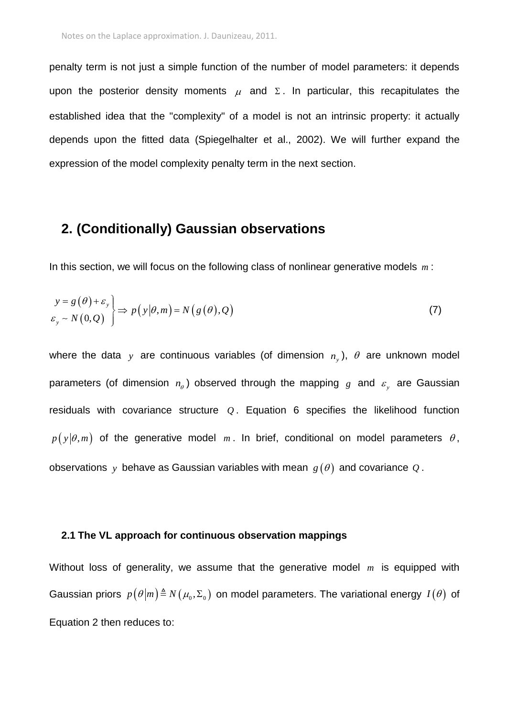penalty term is not just a simple function of the number of model parameters: it depends upon the posterior density moments  $\mu$  and  $\Sigma$ . In particular, this recapitulates the established idea that the "complexity" of a model is not an intrinsic property: it actually depends upon the fitted data (Spiegelhalter et al., 2002). We will further expand the expression of the model complexity penalty term in the next section.

### **2. (Conditionally) Gaussian observations**

In this section, we will focus on the following class of nonlinear generative models *m* :

$$
\begin{aligned} y &= g(\theta) + \varepsilon_{y} \\ \varepsilon_{y} &\sim N(0,Q) \end{aligned} \Rightarrow p\left(y|\theta,m\right) = N\left(g(\theta),Q\right) \tag{7}
$$

where the data y are continuous variables (of dimension  $n_y$ ),  $\theta$  are unknown model parameters (of dimension  $n_{\theta}$ ) observed through the mapping  $g$  and  $\varepsilon_{y}$  are Gaussian residuals with covariance structure  $Q$ . Equation 6 specifies the likelihood function  $p(y|\theta,m)$  of the generative model m and brief, conditional on model parameters  $\theta$ , observations  $y$  behave as Gaussian variables with mean  $g(\theta)$  and covariance  $\mathcal Q$  .

#### **2.1 The VL approach for continuous observation mappings**

Without loss of generality, we assume that the generative model *m* is equipped with Gaussian priors  $p(\theta|m) \triangleq N(\mu_0, \Sigma_0)$  on model parameters. The variational energy  $I(\theta)$  of Equation 2 then reduces to: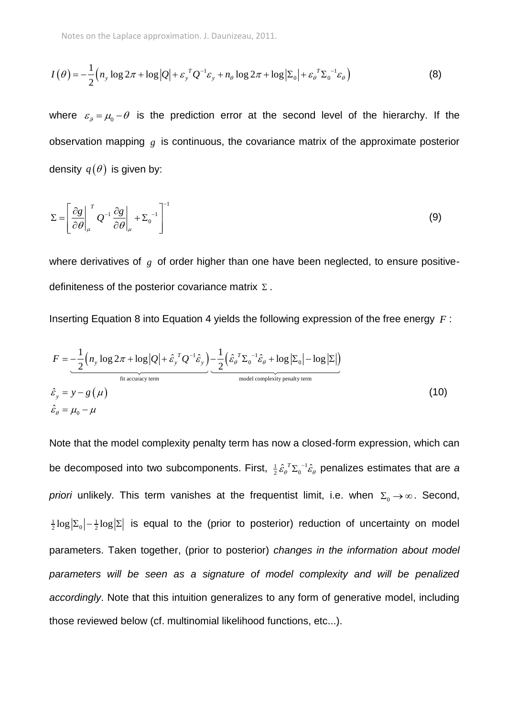$$
I(\theta) = -\frac{1}{2} \left( n_y \log 2\pi + \log |Q| + \varepsilon_y^T Q^{-1} \varepsilon_y + n_\theta \log 2\pi + \log |\Sigma_0| + \varepsilon_\theta^T \Sigma_0^{-1} \varepsilon_\theta \right)
$$
(8)

where  $\varepsilon_g = \mu_0 - \theta$  is the prediction error at the second level of the hierarchy. If the observation mapping  $g$  is continuous, the covariance matrix of the approximate posterior density  $\,q(\theta)\,$  is given by:

$$
\Sigma = \left[ \frac{\partial g}{\partial \theta} \Big|_{\mu}^{T} Q^{-1} \frac{\partial g}{\partial \theta} \Big|_{\mu} + \Sigma_{0}^{-1} \right]^{-1}
$$
 (9)

where derivatives of  $g$  of order higher than one have been neglected, to ensure positivedefiniteness of the posterior covariance matrix  $\Sigma$  .

Inserting Equation 8 into Equation 4 yields the following expression of the free energy 
$$
F
$$
:  
\n
$$
F = -\frac{1}{2} \left( n_y \log 2\pi + \log |Q| + \hat{\varepsilon}_y^T Q^{-1} \hat{\varepsilon}_y \right) - \frac{1}{2} \left( \hat{\varepsilon}_\theta^T \Sigma_0^{-1} \hat{\varepsilon}_\theta + \log |\Sigma_0| - \log |\Sigma| \right)
$$
\n
$$
\hat{\varepsilon}_y = y - g(\mu)
$$
\n
$$
\hat{\varepsilon}_\theta = \mu_0 - \mu
$$
\n(10)

Note that the model complexity penalty term has now a closed-form expression, which can be decomposed into two subcomponents. First,  $\frac{1}{2} \hat{\mathcal{E}}_{\theta}^{\;\;T} \Sigma_{0}^{\;-1} \hat{\mathcal{E}}_{\theta}^{\;\;T}$  $\hat{\varepsilon}_{\theta}^{\;T} \Sigma_{0}^{\; -1} \hat{\varepsilon}_{\theta}$  penalizes estimates that are a priori unlikely. This term vanishes at the frequentist limit, i.e. when  $\Sigma_{0} \rightarrow \infty$ . Second,  $\frac{1}{2} \log |\Sigma_0| - \frac{1}{2} \log |\Sigma|$  is equal to the (prior to posterior) reduction of uncertainty on model parameters. Taken together, (prior to posterior) *changes in the information about model parameters will be seen as a signature of model complexity and will be penalized accordingly*. Note that this intuition generalizes to any form of generative model, including those reviewed below (cf. multinomial likelihood functions, etc...).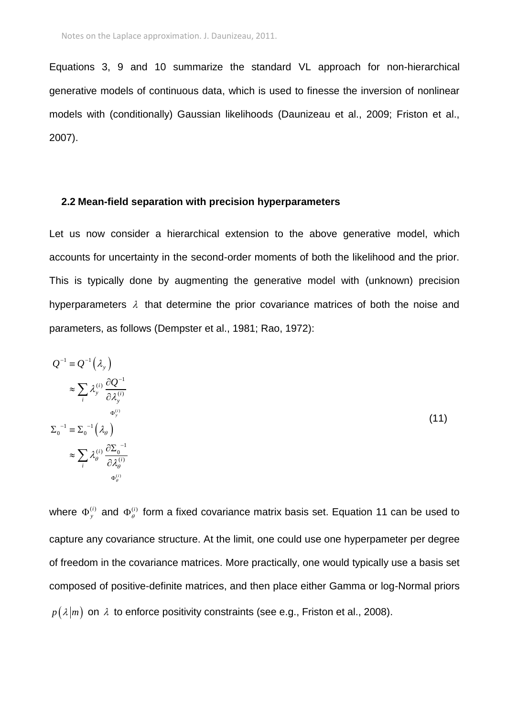Equations 3, 9 and 10 summarize the standard VL approach for non-hierarchical generative models of continuous data, which is used to finesse the inversion of nonlinear models with (conditionally) Gaussian likelihoods (Daunizeau et al., 2009; Friston et al., 2007).

#### **2.2 Mean-field separation with precision hyperparameters**

Let us now consider a hierarchical extension to the above generative model, which accounts for uncertainty in the second-order moments of both the likelihood and the prior. This is typically done by augmenting the generative model with (unknown) precision hyperparameters  $\lambda$  that determine the prior covariance matrices of both the noise and parameters, as follows (Dempster et al., 1981; Rao, 1972):

$$
Q^{-1} = Q^{-1}(\lambda_{y})
$$
  
\n
$$
\approx \sum_{i} \lambda_{y}^{(i)} \frac{\partial Q^{-1}}{\partial \lambda_{y}^{(i)}}
$$
  
\n
$$
\Sigma_{0}^{-1} = \Sigma_{0}^{-1}(\lambda_{\theta})
$$
  
\n
$$
\approx \sum_{i} \lambda_{\theta}^{(i)} \frac{\partial \Sigma_{0}^{-1}}{\partial \lambda_{\theta}^{(i)}}
$$
  
\n
$$
\approx \sum_{i} \lambda_{\theta}^{(i)} \frac{\partial \Sigma_{0}^{-1}}{\partial \lambda_{\theta}^{(i)}}
$$

where  $\Phi_{y}^{(i)}$  and  $\Phi_{\theta}^{(i)}$  form a fixed covariance matrix basis set. Equation 11 can be used to capture any covariance structure. At the limit, one could use one hyperpameter per degree of freedom in the covariance matrices. More practically, one would typically use a basis set composed of positive-definite matrices, and then place either Gamma or log-Normal priors  $p\left(\left. \lambda \right| m\right)$  on  $\left. \lambda \right.$  to enforce positivity constraints (see e.g., Friston et al., 2008).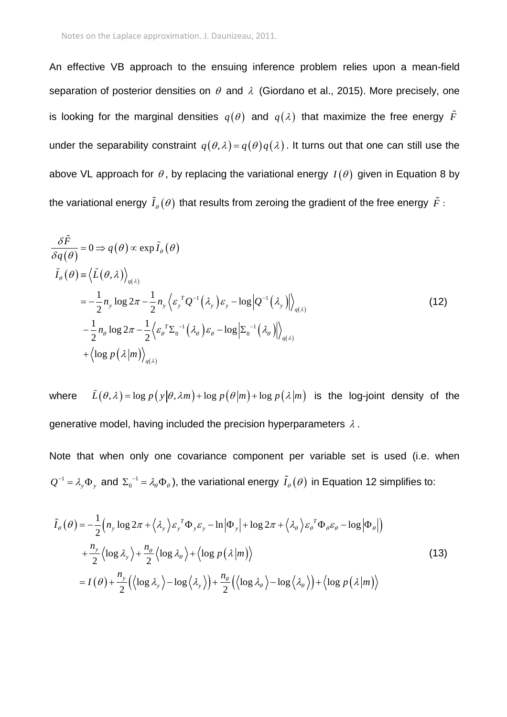An effective VB approach to the ensuing inference problem relies upon a mean-field separation of posterior densities on  $\theta$  and  $\lambda$  (Giordano et al., 2015). More precisely, one is looking for the marginal densities  $q(\theta)$  and  $q(\lambda)$  that maximize the free energy  $F$ under the separability constraint  $q(\theta, \lambda) = q(\theta)q(\lambda)$ . It turns out that one can still use the above VL approach for  $\theta$ , by replacing the variational energy  $I(\theta)$  given in Equation 8 by the variational energy  $\,I_{\theta}(\theta)\,$  that results from zeroing the gradient of the free energy  $\, \tilde{F}$  :

$$
\frac{\delta \tilde{F}}{\delta q(\theta)} = 0 \Rightarrow q(\theta) \propto \exp \tilde{I}_{\theta}(\theta)
$$
\n
$$
\tilde{I}_{\theta}(\theta) = \langle \tilde{L}(\theta, \lambda) \rangle_{q(\lambda)}
$$
\n
$$
= -\frac{1}{2} n_{y} \log 2\pi - \frac{1}{2} n_{y} \langle \varepsilon_{y}^{T} Q^{-1}(\lambda_{y}) \varepsilon_{y} - \log |Q^{-1}(\lambda_{y})| \rangle_{q(\lambda)}
$$
\n
$$
- \frac{1}{2} n_{\theta} \log 2\pi - \frac{1}{2} \langle \varepsilon_{\theta}^{T} \Sigma_{0}^{-1}(\lambda_{\theta}) \varepsilon_{\theta} - \log | \Sigma_{0}^{-1}(\lambda_{\theta})| \rangle_{q(\lambda)}
$$
\n
$$
+ \langle \log p(\lambda | m) \rangle_{q(\lambda)}
$$
\n(12)

where  $\tilde{L}(\theta, \lambda)$  = log  $p(y|\theta, \lambda m)$  + log  $p(\theta|m)$  + log  $p(\lambda|m)$  is the log-joint density of the generative model, having included the precision hyperparameters  $\lambda$  .

Note that when only one covariance component per variable set is used (i.e. when  $Q^{-1} = \lambda_{y} \Phi_{y}$  $I^{-1}=\lambda_y\Phi_{y}$  and  $\Sigma_0^{-1}=\lambda_\theta\Phi_{\theta}$  ), the variational energy  $\tilde I_{\theta}(\theta)$  in Equation 12 simplifies to:

$$
\tilde{I}_{\theta}(\theta) = -\frac{1}{2} \Big( n_{y} \log 2\pi + \langle \lambda_{y} \rangle \varepsilon_{y}^{T} \Phi_{y} \varepsilon_{y} - \ln |\Phi_{y}| + \log 2\pi + \langle \lambda_{\theta} \rangle \varepsilon_{\theta}^{T} \Phi_{\theta} \varepsilon_{\theta} - \log |\Phi_{\theta}| \Big) \n+ \frac{n_{y}}{2} \langle \log \lambda_{y} \rangle + \frac{n_{\theta}}{2} \langle \log \lambda_{\theta} \rangle + \langle \log p(\lambda | m) \rangle \n= I(\theta) + \frac{n_{y}}{2} \Big( \langle \log \lambda_{y} \rangle - \log \langle \lambda_{y} \rangle \Big) + \frac{n_{\theta}}{2} \Big( \langle \log \lambda_{\theta} \rangle - \log \langle \lambda_{\theta} \rangle \Big) + \langle \log p(\lambda | m) \rangle
$$
\n(13)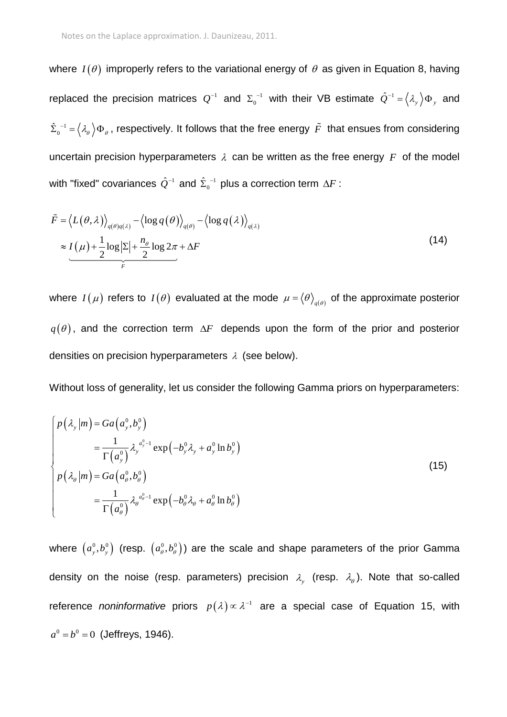where  $I(\theta)$  improperly refers to the variational energy of  $\theta$  as given in Equation 8, having replaced the precision matrices  $Q^{-1}$  and  $\Sigma_0^{-1}$  $\Sigma_0^{-1}$  with their VB estimate  $\hat{\mathcal{Q}}^{-1} = \left\langle \mathcal{X}_y \right\rangle \Phi_y$  $^{-1} = \langle \lambda_{v} \rangle \Phi_{v}$  and 1  $\hat{\Sigma}_0^{-1} = \big<\lambda_\theta\big>\Phi_{\theta}$  , respectively. It follows that the free energy  $\tilde{F}$  that ensues from considering uncertain precision hyperparameters  $\lambda$  can be written as the free energy  $F$  of the model with "fixed" covariances  $\hat{\mathcal{Q}}^{-1}$  and  $\hat{\Sigma}_0^{-1}$  $\hat{\Sigma}_0^{-1}$  plus a correction term  $\Delta F$  :

$$
\tilde{F} = \langle L(\theta, \lambda) \rangle_{q(\theta)q(\lambda)} - \langle \log q(\theta) \rangle_{q(\theta)} - \langle \log q(\lambda) \rangle_{q(\lambda)}
$$
\n
$$
\approx \underbrace{I(\mu) + \frac{1}{2} \log |\Sigma| + \frac{n_{\theta}}{2} \log 2\pi}_{F} + \Delta F
$$
\n(14)

where  $I(\mu)$  refers to  $I(\theta)$  evaluated at the mode  $\mu = \langle \theta \rangle_{_{q(\theta)}}$  of the approximate posterior  $q(\theta)$ , and the correction term  $\Delta F$  depends upon the form of the prior and posterior densities on precision hyperparameters  $\lambda$  (see below).

Without loss of generality, let us consider the following Gamma priors on hyperparameters:

$$
\begin{cases}\np\left(\lambda_{y}|m\right) = Ga\left(a_{y}^{0},b_{y}^{0}\right) \\
= \frac{1}{\Gamma\left(a_{y}^{0}\right)}\lambda_{y}^{a_{y}^{0}-1}\exp\left(-b_{y}^{0}\lambda_{y}+a_{y}^{0}\ln b_{y}^{0}\right) \\
p\left(\lambda_{\theta}|m\right) = Ga\left(a_{\theta}^{0},b_{\theta}^{0}\right) \\
= \frac{1}{\Gamma\left(a_{\theta}^{0}\right)}\lambda_{\theta}^{a_{\theta}^{0}-1}\exp\left(-b_{\theta}^{0}\lambda_{\theta}+a_{\theta}^{0}\ln b_{\theta}^{0}\right)\n\end{cases}
$$
\n(15)

where  $\left(a^0_y,b^0_y\right)$  (resp.  $\left(a^0_\theta,b^0_\theta\right)$ ) are the scale and shape parameters of the prior Gamma density on the noise (resp. parameters) precision  $\lambda_{y}$  (resp.  $\lambda_{\theta}$ ). Note that so-called reference *noninformative* priors  $p(\lambda) \propto \lambda^{-1}$  are a special case of Equation 15, with  $a^0 = b^0 = 0$  (Jeffreys, 1946).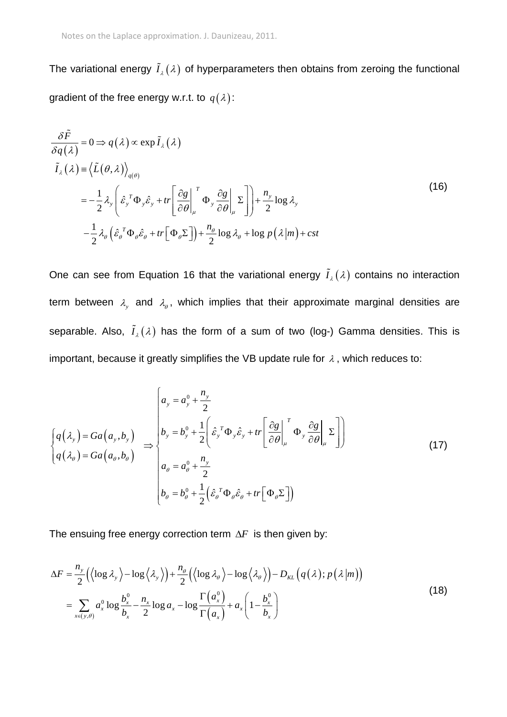The variational energy  $I_{\lambda}(\lambda)$  of hyperparameters then obtains from zeroing the functional gradient of the free energy w.r.t. to  $\,q(\lambda)\,$ :

$$
\frac{\partial \tilde{F}}{\partial q(\lambda)} = 0 \Rightarrow q(\lambda) \propto \exp \tilde{I}_{\lambda}(\lambda)
$$
\n
$$
\tilde{I}_{\lambda}(\lambda) = \langle \tilde{L}(\theta, \lambda) \rangle_{q(\theta)}
$$
\n
$$
= -\frac{1}{2} \lambda_{y} \left( \hat{\varepsilon}_{y}^{T} \Phi_{y} \hat{\varepsilon}_{y} + tr \left[ \frac{\partial g}{\partial \theta} \Big|_{\mu}^{T} \Phi_{y} \frac{\partial g}{\partial \theta} \Big|_{\mu} \Sigma \right] \right) + \frac{n_{y}}{2} \log \lambda_{y}
$$
\n
$$
- \frac{1}{2} \lambda_{\theta} \left( \hat{\varepsilon}_{\theta}^{T} \Phi_{\theta} \hat{\varepsilon}_{\theta} + tr \left[ \Phi_{\theta} \Sigma \right] \right) + \frac{n_{\theta}}{2} \log \lambda_{\theta} + \log p(\lambda | m) + cst
$$
\n(16)

One can see from Equation 16 that the variational energy  $I_{\lambda}(\lambda)$  contains no interaction term between  $\lambda_{\mathrm{y}}$  and  $\lambda_{\theta}$ , which implies that their approximate marginal densities are separable. Also,  $I_{\lambda}(\lambda)$  has the form of a sum of two (log-) Gamma densities. This is important, because it greatly simplifies the VB update rule for  $\lambda$ , which reduces to:

$$
\begin{cases}\nq(\lambda_{y}) = Ga(a_{y}, b_{y}) \\
q(\lambda_{\theta}) = Ga(a_{\theta}, b_{\theta})\n\end{cases} \Rightarrow\n\begin{cases}\n a_{y} = a_{y}^{0} + \frac{n_{y}}{2} \\
 b_{y} = b_{y}^{0} + \frac{1}{2} \left(\hat{\varepsilon}_{y}^{T} \Phi_{y} \hat{\varepsilon}_{y} + tr\left[\frac{\partial g}{\partial \theta}\Big|_{\mu}^{T} \Phi_{y} \frac{\partial g}{\partial \theta}\Big|_{\mu} \Sigma\right]\right) \\
 a_{\theta} = a_{\theta}^{0} + \frac{n_{y}}{2} \\
 b_{\theta} = b_{\theta}^{0} + \frac{1}{2} \left(\hat{\varepsilon}_{\theta}^{T} \Phi_{\theta} \hat{\varepsilon}_{\theta} + tr\left[\Phi_{\theta} \Sigma\right]\right)\n\end{cases}
$$
\n(17)

The ensuing free energy correction term  $\Delta F$  is then given by:

$$
\Delta F = \frac{n_y}{2} \Big( \langle \log \lambda_y \rangle - \log \langle \lambda_y \rangle \Big) + \frac{n_\theta}{2} \Big( \langle \log \lambda_\theta \rangle - \log \langle \lambda_\theta \rangle \Big) - D_{KL} \Big( q(\lambda); p(\lambda|m) \Big)
$$
  
= 
$$
\sum_{x \in (y,\theta)} a_x^0 \log \frac{b_x^0}{b_x} - \frac{n_x}{2} \log a_x - \log \frac{\Gamma(a_x^0)}{\Gamma(a_x)} + a_x \Big( 1 - \frac{b_x^0}{b_x} \Big)
$$
 (18)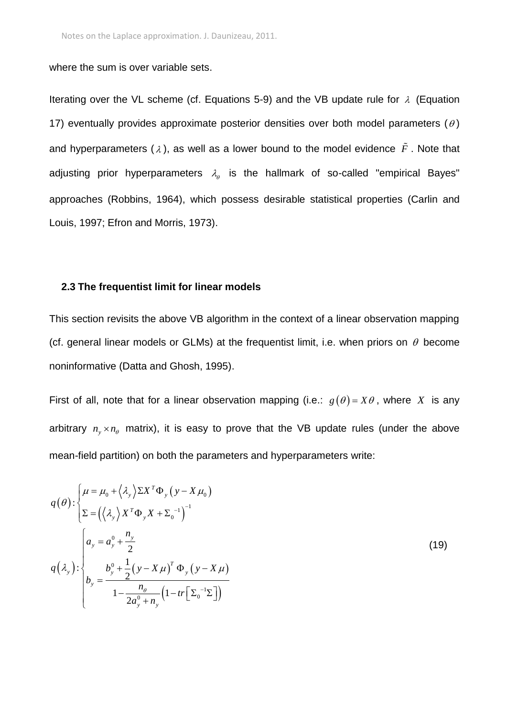where the sum is over variable sets.

Iterating over the VL scheme (cf. Equations 5-9) and the VB update rule for  $\lambda$  (Equation 17) eventually provides approximate posterior densities over both model parameters  $(\theta)$ and hyperparameters ( $\lambda$ ), as well as a lower bound to the model evidence  $\tilde{F}$  . Note that adjusting prior hyperparameters  $\lambda_{\theta}$  is the hallmark of so-called "empirical Bayes" approaches (Robbins, 1964), which possess desirable statistical properties (Carlin and Louis, 1997; Efron and Morris, 1973).

#### **2.3 The frequentist limit for linear models**

This section revisits the above VB algorithm in the context of a linear observation mapping (cf. general linear models or GLMs) at the frequentist limit, i.e. when priors on  $\theta$  become noninformative (Datta and Ghosh, 1995).

First of all, note that for a linear observation mapping (i.e.:  $g(\theta) = X\theta$ , where X is any arbitrary  $n_{y} \times n_{\theta}$  matrix), it is easy to prove that the VB update rules (under the above mean-field partition) on both the parameters and hyperparameters write:

$$
q(\theta) : \begin{cases} \mu = \mu_0 + \left\langle \lambda_y \right\rangle \Sigma X^T \Phi_y \left( y - X \mu_0 \right) \\ \Sigma = \left( \left\langle \lambda_y \right\rangle X^T \Phi_y X + \Sigma_0^{-1} \right)^{-1} \end{cases}
$$
  

$$
q(\lambda_y) : \begin{cases} a_y = a_y^0 + \frac{n_y}{2} \\ b_y = \frac{b_y^0 + \frac{1}{2} (y - X \mu)^T \Phi_y (y - X \mu)}{1 - \frac{n_\theta}{2a_y^0 + n_y} \left( 1 - tr \left[ \Sigma_0^{-1} \Sigma \right] \right)} \end{cases}
$$
(19)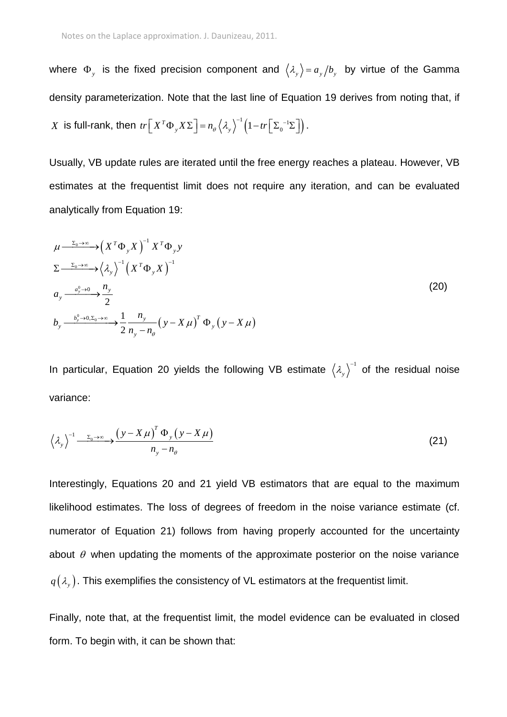where  $\Phi_y$  is the fixed precision component and  $\langle \lambda_y \rangle = a_y/b_y$  by virtue of the Gamma density parameterization. Note that the last line of Equation 19 derives from noting that, if X is full-rank, then  $tr\left[X^T\Phi_{y}X\Sigma\right] = n_{\theta}\left\langle \lambda_{y}\right\rangle^{-1}\left(1-tr\left[\Sigma_{0}^{-1}\Sigma\right]\right)$  $tr\left[ X^T \Phi_y X \Sigma \right] = n_\theta \left\langle \lambda_y \right\rangle^{-1} \left( 1 - tr \left[ \Sigma_0 \right] \right)$  $^{-1}$ (1  $\sqrt{5}$  =  $\left[ X^T \Phi_y X \Sigma \right] = n_\theta \left\langle \lambda_y \right\rangle^{-1} \left( 1 - tr \left[ \Sigma_0^{-1} \Sigma \right] \right).$ .

Usually, VB update rules are iterated until the free energy reaches a plateau. However, VB estimates at the frequentist limit does not require any iteration, and can be evaluated analytically from Equation 19:

$$
\mu \xrightarrow{\Sigma_0 \to \infty} \left(X^T \Phi_y X\right)^{-1} X^T \Phi_y y
$$
\n
$$
\Sigma \xrightarrow{\Sigma_0 \to \infty} \left\langle \lambda_y \right\rangle^{-1} \left(X^T \Phi_y X\right)^{-1}
$$
\n
$$
a_y \xrightarrow{\frac{a_y^0 \to 0}{2}} \frac{n_y}{2}
$$
\n
$$
b_y \xrightarrow{\frac{b_y^0 \to 0, \Sigma_0 \to \infty}{2}} \frac{1}{n_y - n_\theta} \left(y - X\mu\right)^T \Phi_y \left(y - X\mu\right)
$$
\n(20)

In particular, Equation 20 yields the following VB estimate  $\langle \lambda_y \rangle^{-1}$  $1$  of the residual noise variance:

$$
\left\langle \lambda_{y}\right\rangle^{1} \xrightarrow{\Sigma_{0}\to\infty} \frac{\left(y-X\mu\right)^{T} \Phi_{y}\left(y-X\mu\right)}{n_{y}-n_{\theta}}
$$
\n(21)

Interestingly, Equations 20 and 21 yield VB estimators that are equal to the maximum likelihood estimates. The loss of degrees of freedom in the noise variance estimate (cf. numerator of Equation 21) follows from having properly accounted for the uncertainty about  $\theta$  when updating the moments of the approximate posterior on the noise variance  $q\left(\lambda_{_y}\right)$ . This exemplifies the consistency of VL estimators at the frequentist limit.

Finally, note that, at the frequentist limit, the model evidence can be evaluated in closed form. To begin with, it can be shown that: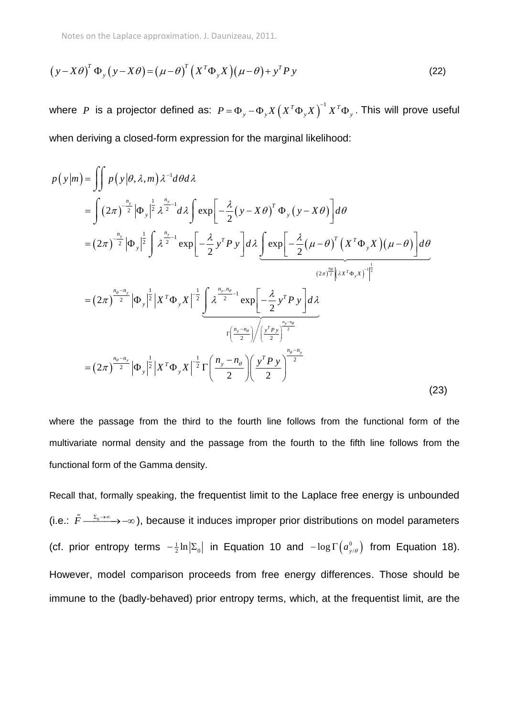Notes on the Laplace approximation. J. Daunizeau, 2011.

$$
(y - X\theta)^T \Phi_y (y - X\theta) = (\mu - \theta)^T (X^T \Phi_y X)(\mu - \theta) + y^T P y
$$
\n(22)

where  $P$  is a projector defined as:  $P = \Phi_y - \Phi_y X \left( X^T \Phi_y X \right)^{-1} X^T \Phi_y$  $=\mathbf{\Phi}_{y}-\mathbf{\Phi}_{y}X\left(X^{T}\mathbf{\Phi}_{y}X\right)^{-1}X^{T}\mathbf{\Phi}_{y}$  . This will prove useful

when deriving a closed-form expression for the marginal likelihood:  
\n
$$
p(y|m) = \iint p(y|\theta, \lambda, m) \lambda^{-1} d\theta d\lambda
$$
\n
$$
= \int (2\pi)^{\frac{n_y}{2}} |\Phi_y|^{\frac{1}{2}} \lambda^{\frac{n_y}{2}-1} d\lambda \int \exp\left[-\frac{\lambda}{2} (y - X\theta)^T \Phi_y (y - X\theta)\right] d\theta
$$
\n
$$
= (2\pi)^{\frac{n_y}{2}} |\Phi_y|^{\frac{1}{2}} \int \lambda^{\frac{n_y}{2}-1} \exp\left[-\frac{\lambda}{2} y^T P y\right] d\lambda \underbrace{\int \exp\left[-\frac{\lambda}{2} (\mu - \theta)^T (X^T \Phi_y X)(\mu - \theta)\right]}_{(2\pi)^{\frac{n\theta}{2}} \left[\lambda^{\frac{n_y}{2}-1} \exp\left[-\frac{\lambda}{2} y^T P y\right] d\lambda
$$
\n
$$
= (2\pi)^{\frac{n_\theta - n_y}{2}} |\Phi_y|^{\frac{1}{2}} |X^T \Phi_y X|^{-\frac{1}{2}} \underbrace{\int \lambda^{\frac{n_y - n_\theta}{2}-1} \exp\left[-\frac{\lambda}{2} y^T P y\right] d\lambda}_{\Gamma\left(\frac{n_y - n_\theta}{2}\right) \left(\frac{y^T P y}{2}\right)^{\frac{n_y - n_\theta}{2}}}
$$
\n
$$
= (2\pi)^{\frac{n_\theta - n_y}{2}} |\Phi_y|^{\frac{1}{2}} |X^T \Phi_y X|^{-\frac{1}{2}} \Gamma\left(\frac{n_y - n_\theta}{2}\right) \left(\frac{y^T P y}{2}\right)^{\frac{n_\theta - n_y}{2}}
$$
\n(23)

where the passage from the third to the fourth line follows from the functional form of the multivariate normal density and the passage from the fourth to the fifth line follows from the functional form of the Gamma density.

Recall that, formally speaking, the frequentist limit to the Laplace free energy is unbounded (i.e.:  $\tilde{F} \longrightarrow_{\infty}^{\Sigma_0 \to \infty}$ ), because it induces improper prior distributions on model parameters (cf. prior entropy terms  $-\frac{1}{2} \ln |\Sigma_0|$  in Equation 10 and  $-\log \Gamma(a_{y/\theta}^0)$  $-\log \Gamma\left(a_{y/\theta}^0\right)$  from Equation 18). However, model comparison proceeds from free energy differences. Those should be immune to the (badly-behaved) prior entropy terms, which, at the frequentist limit, are the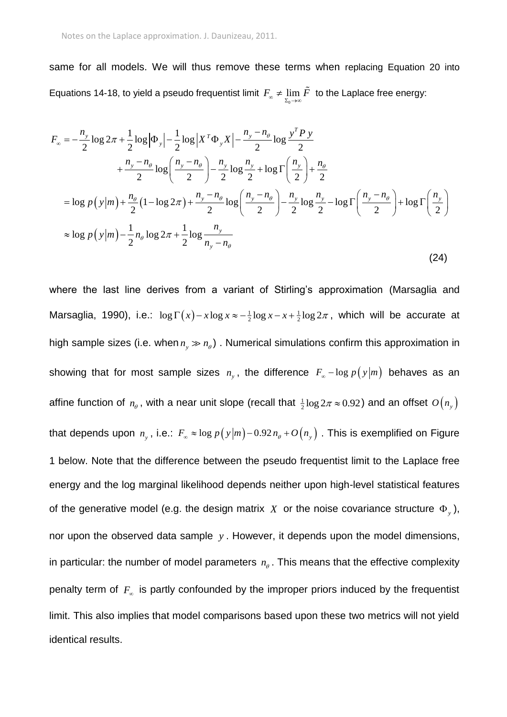same for all models. We will thus remove these terms when replacing Equation 20 into

Equations 14-18, to yield a pseudo frequentist limit 
$$
F_{\infty} \neq \lim_{\Sigma_0 \to \infty} \tilde{F}
$$
 to the Laplace free energy:  
\n
$$
F_{\infty} = -\frac{n_y}{2} \log 2\pi + \frac{1}{2} \log |\Phi_y| - \frac{1}{2} \log |X^T \Phi_y X| - \frac{n_y - n_\theta}{2} \log \frac{y^T P y}{2}
$$
\n
$$
+ \frac{n_y - n_\theta}{2} \log \left( \frac{n_y - n_\theta}{2} \right) - \frac{n_y}{2} \log \frac{n_y}{2} + \log \Gamma \left( \frac{n_y}{2} \right) + \frac{n_\theta}{2}
$$
\n
$$
= \log p(y|m) + \frac{n_\theta}{2} (1 - \log 2\pi) + \frac{n_y - n_\theta}{2} \log \left( \frac{n_y - n_\theta}{2} \right) - \frac{n_y}{2} \log \frac{n_y}{2} - \log \Gamma \left( \frac{n_y - n_\theta}{2} \right) + \log \Gamma \left( \frac{n_y}{2} \right)
$$
\n
$$
\approx \log p(y|m) - \frac{1}{2} n_\theta \log 2\pi + \frac{1}{2} \log \frac{n_y}{n_y - n_\theta}
$$
\n(24)

where the last line derives from a variant of Stirling's approximation (Marsaglia and Marsaglia, 1990), i.e.:  $\log \Gamma(x) - x \log x \approx -\frac{1}{2} \log x - x + \frac{1}{2} \log 2\pi$ , which will be accurate at high sample sizes (i.e. when  $n_{y} \gg n_{\theta}$ ). Numerical simulations confirm this approximation in showing that for most sample sizes  $n_{y}$ , the difference  $F_{\infty}$  –  $\log p(y|m)$  behaves as an affine function of  $n_{\scriptscriptstyle{\theta}}$  , with a near unit slope (recall that  $\frac{1}{2} \log 2\pi \approx 0.92$ ) and an offset  $\mathit{O}\left(n_{_{\mathrm{y}}}\right)$ that depends upon  $n_{_{\cal Y}}$ , i.e.:  $F_{_{\infty}} \approx \log p\big(\mathrm{y} | m\big)$ –0.92 $n_{_{\theta}}+O\big(n_{_{\cal Y}}\big)$  . This is exemplified on Figure 1 below. Note that the difference between the pseudo frequentist limit to the Laplace free energy and the log marginal likelihood depends neither upon high-level statistical features of the generative model (e.g. the design matrix  $X$  or the noise covariance structure  $\Phi_{y}$ ), nor upon the observed data sample *y* . However, it depends upon the model dimensions, in particular: the number of model parameters  $n_{\theta}$ . This means that the effective complexity penalty term of  $F_{\infty}$  is partly confounded by the improper priors induced by the frequentist limit. This also implies that model comparisons based upon these two metrics will not yield identical results.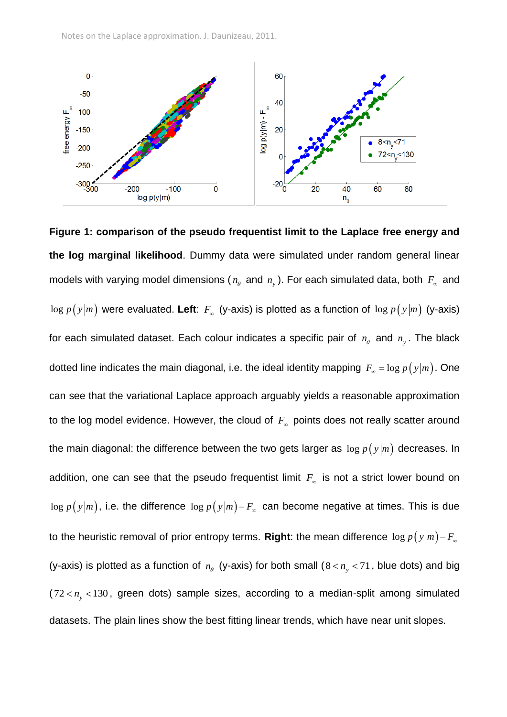

**Figure 1: comparison of the pseudo frequentist limit to the Laplace free energy and the log marginal likelihood**. Dummy data were simulated under random general linear models with varying model dimensions ( $n_{\scriptscriptstyle{\theta}}$  and  $n_{\scriptscriptstyle{y}}$ ). For each simulated data, both  $\,F_{\scriptscriptstyle{\infty}}\,$  and  $\log\,p\,(\,y|m)$  were evaluated. Left:  $F_\infty$  (y-axis) is plotted as a function of  $\log\,p\,(\,y|m)$  (y-axis) for each simulated dataset. Each colour indicates a specific pair of  $n_{\scriptscriptstyle{\theta}}$  and  $n_{\scriptscriptstyle{y}}$ . The black dotted line indicates the main diagonal, i.e. the ideal identity mapping  $\,F_{_{\infty}}= \log p\big(\,y\big| m\big).$  One can see that the variational Laplace approach arguably yields a reasonable approximation to the log model evidence. However, the cloud of  $F_{\scriptscriptstyle \infty}$  points does not really scatter around the main diagonal: the difference between the two gets larger as  $\log$   $p$  (  $\mathrm{y}|m)$  decreases. In addition, one can see that the pseudo frequentist limit *F* is not a strict lower bound on  $\log p(y|m)$ , i.e. the difference  $\log p(y|m)$ – $F_{\scriptscriptstyle \infty}$  can become negative at times. This is due to the heuristic removal of prior entropy terms. **Right**: the mean difference  $\log p\left(\frac{y}{m}\right)$  –  $F_{\scriptscriptstyle{\alpha}}$ (y-axis) is plotted as a function of  $n_{\theta}$  (y-axis) for both small ( $8 < n_{y} < 71$ , blue dots) and big  $(72 < n<sub>y</sub> < 130$ , green dots) sample sizes, according to a median-split among simulated datasets. The plain lines show the best fitting linear trends, which have near unit slopes.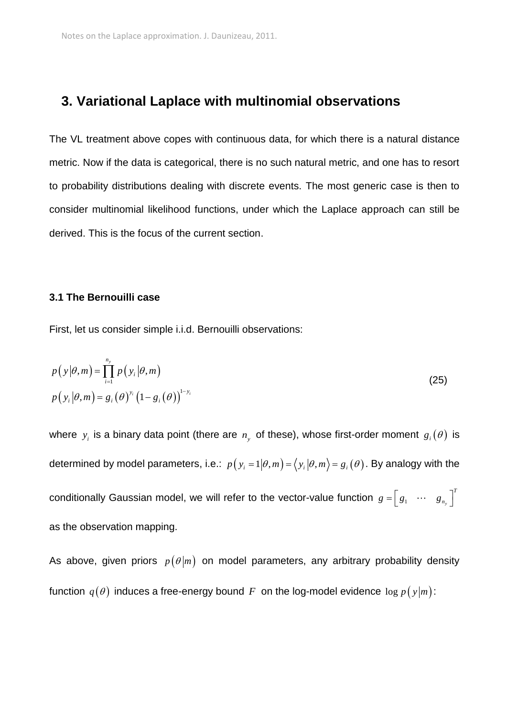### **3. Variational Laplace with multinomial observations**

The VL treatment above copes with continuous data, for which there is a natural distance metric. Now if the data is categorical, there is no such natural metric, and one has to resort to probability distributions dealing with discrete events. The most generic case is then to consider multinomial likelihood functions, under which the Laplace approach can still be derived. This is the focus of the current section.

#### **3.1 The Bernouilli case**

First, let us consider simple i.i.d. Bernouilli observations:

$$
p(y|\theta,m) = \prod_{i=1}^{n_y} p(y_i|\theta,m)
$$
  
\n
$$
p(y_i|\theta,m) = g_i(\theta)^{y_i} (1 - g_i(\theta))^{1-y_i}
$$
\n(25)

where  $y_i$  is a binary data point (there are  $n_y$  of these), whose first-order moment  $g_i(\theta)$  is determined by model parameters, i.e.:  $\,p\big(\,y_{_{i}}=1\big|\theta,m\big)=\big\langle\,y_{_{i}}\big|\theta,m\big\rangle\!=g_{_{i}}\big(\theta\big).$  By analogy with the conditionally Gaussian model, we will refer to the vector-value function  $|g = |$   $g_1$   $\cdots$   $|$   $g_{_{n_s}}$ *T*  $g = \begin{bmatrix} g_1 & \cdots & g_{n_y} \end{bmatrix}^T$ as the observation mapping.

As above, given priors  $p(\theta|m)$  on model parameters, any arbitrary probability density function  $\,q(\theta)\,$  induces a free-energy bound  $\,F\,$  on the log-model evidence  $\,\log p\,(\,y | m)\,$ :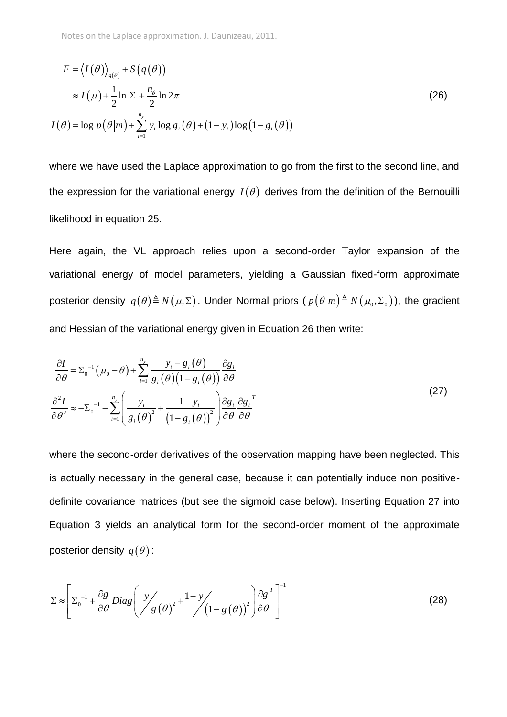$$
F = \langle I(\theta) \rangle_{q(\theta)} + S(q(\theta))
$$
  
\n
$$
\approx I(\mu) + \frac{1}{2} \ln |\Sigma| + \frac{n_{\theta}}{2} \ln 2\pi
$$
  
\n
$$
I(\theta) = \log p(\theta|m) + \sum_{i=1}^{n_y} y_i \log g_i(\theta) + (1 - y_i) \log (1 - g_i(\theta))
$$
\n(26)

where we have used the Laplace approximation to go from the first to the second line, and the expression for the variational energy  $I(\theta)$  derives from the definition of the Bernouilli likelihood in equation 25.

Here again, the VL approach relies upon a second-order Taylor expansion of the variational energy of model parameters, yielding a Gaussian fixed-form approximate posterior density  $q(\theta) \triangleq N(\mu, \Sigma)$ . Under Normal priors (  $p(\theta|m) \triangleq N(\mu_0, \Sigma_0)$  ), the gradient and Hessian of the variational energy given in Equation 26 then write:

$$
\frac{\partial I}{\partial \theta} = \Sigma_0^{-1} \left( \mu_0 - \theta \right) + \sum_{i=1}^{n_y} \frac{y_i - g_i(\theta)}{g_i(\theta) \left( 1 - g_i(\theta) \right)} \frac{\partial g_i}{\partial \theta}
$$
\n
$$
\frac{\partial^2 I}{\partial \theta^2} \approx -\Sigma_0^{-1} - \sum_{i=1}^{n_y} \left( \frac{y_i}{g_i(\theta)^2} + \frac{1 - y_i}{\left( 1 - g_i(\theta) \right)^2} \right) \frac{\partial g_i}{\partial \theta} \frac{\partial g_i}{\partial \theta}^T
$$
\n(27)

where the second-order derivatives of the observation mapping have been neglected. This is actually necessary in the general case, because it can potentially induce non positivedefinite covariance matrices (but see the sigmoid case below). Inserting Equation 27 into Equation 3 yields an analytical form for the second-order moment of the approximate posterior density  $\,q(\theta)$  :

$$
\Sigma \approx \left[ \Sigma_0^{-1} + \frac{\partial g}{\partial \theta} Diag \left( \frac{y}{g(\theta)}^2 + \frac{1 - y}{\left(1 - g(\theta)\right)^2} \right) \frac{\partial g}{\partial \theta}^T \right]^{-1}
$$
(28)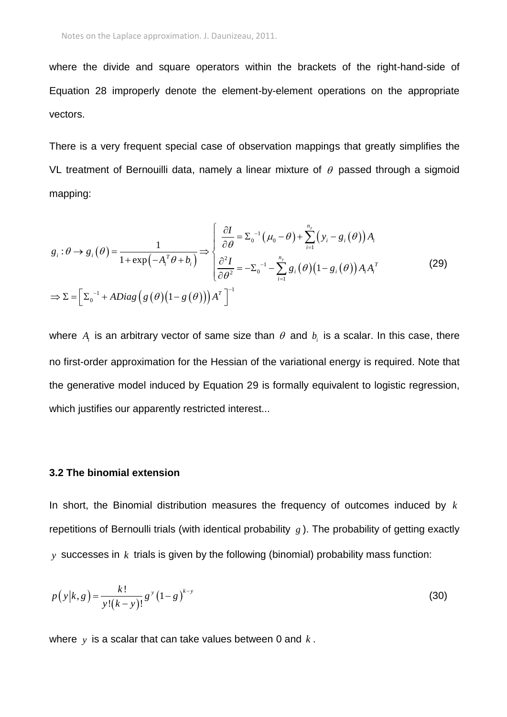where the divide and square operators within the brackets of the right-hand-side of Equation 28 improperly denote the element-by-element operations on the appropriate vectors.

There is a very frequent special case of observation mappings that greatly simplifies the VL treatment of Bernouilli data, namely a linear mixture of  $\theta$  passed through a sigmoid mapping:

$$
g_{i}: \theta \to g_{i}(\theta) = \frac{1}{1 + \exp(-A_{i}^{T}\theta + b_{i})} \Rightarrow \begin{cases} \frac{\partial I}{\partial \theta} = \Sigma_{0}^{-1}(\mu_{0} - \theta) + \sum_{i=1}^{n_{y}} (y_{i} - g_{i}(\theta))A_{i} \\ \frac{\partial^{2} I}{\partial \theta^{2}} = -\Sigma_{0}^{-1} - \sum_{i=1}^{n_{y}} g_{i}(\theta)(1 - g_{i}(\theta))A_{i}A_{i}^{T} \end{cases}
$$
(29)  

$$
\Rightarrow \Sigma = \left[\Sigma_{0}^{-1} + ADiag(g(\theta)(1 - g(\theta)))A^{T}\right]^{-1}
$$

where  $A_i$  is an arbitrary vector of same size than  $\theta$  and  $b_i$  is a scalar. In this case, there no first-order approximation for the Hessian of the variational energy is required. Note that the generative model induced by Equation 29 is formally equivalent to logistic regression, which justifies our apparently restricted interest...

### **3.2 The binomial extension**

In short, the Binomial distribution measures the frequency of outcomes induced by *k* repetitions of Bernoulli trials (with identical probability *g* ). The probability of getting exactly *y* successes in *k* trials is given by the following (binomial) probability mass function:

$$
p(y|k,g) = \frac{k!}{y!(k-y)!}g^{y}(1-g)^{k-y}
$$
\n(30)

where *y* is a scalar that can take values between 0 and *k* .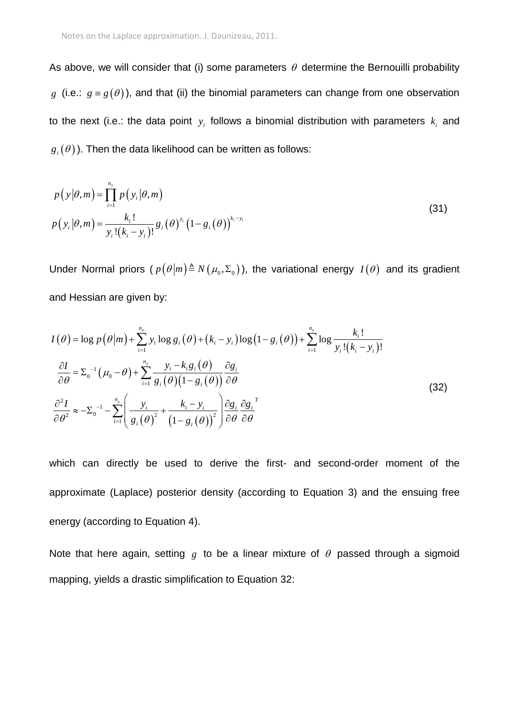As above, we will consider that (i) some parameters  $\theta$  determine the Bernouilli probability g (i.e.:  $g \equiv g(\theta)$ ), and that (ii) the binomial parameters can change from one observation to the next (i.e.: the data point  $y_i$  follows a binomial distribution with parameters  $k_i$  and  $g_{_{i}}(\theta)$  ). Then the data likelihood can be written as follows:

$$
p(y|\theta,m) = \prod_{i=1}^{n_y} p(y_i|\theta,m)
$$
  
\n
$$
p(y_i|\theta,m) = \frac{k_i!}{y_i!(k_i - y_i)!} g_i(\theta)^{y_i} (1 - g_i(\theta))^{k_i - y_i}
$$
\n(31)

Under Normal priors  $(p(\theta|m) \triangleq N(\mu_0, \Sigma_0))$ , the variational energy  $I(\theta)$  and its gradient and Hessian are given by:

and Hessian are given by:  
\n
$$
I(\theta) = \log p(\theta|m) + \sum_{i=1}^{n_y} y_i \log g_i(\theta) + (k_i - y_i) \log (1 - g_i(\theta)) + \sum_{i=1}^{n_y} \log \frac{k_i!}{y_i!(k_i - y_i)!}
$$
\n
$$
\frac{\partial I}{\partial \theta} = \sum_{0}^{1} (\mu_0 - \theta) + \sum_{i=1}^{n_y} \frac{y_i - k_i g_i(\theta)}{g_i(\theta)(1 - g_i(\theta))} \frac{\partial g_i}{\partial \theta}
$$
\n
$$
\frac{\partial^2 I}{\partial \theta^2} \approx -\sum_{0}^{1} - \sum_{i=1}^{n_y} \left( \frac{y_i}{g_i(\theta)^2} + \frac{k_i - y_i}{(1 - g_i(\theta))^2} \right) \frac{\partial g_i}{\partial \theta} \frac{\partial g_i}{\partial \theta}^T
$$
\n(32)

which can directly be used to derive the first- and second-order moment of the approximate (Laplace) posterior density (according to Equation 3) and the ensuing free energy (according to Equation 4).

Note that here again, setting  $g$  to be a linear mixture of  $\theta$  passed through a sigmoid mapping, yields a drastic simplification to Equation 32: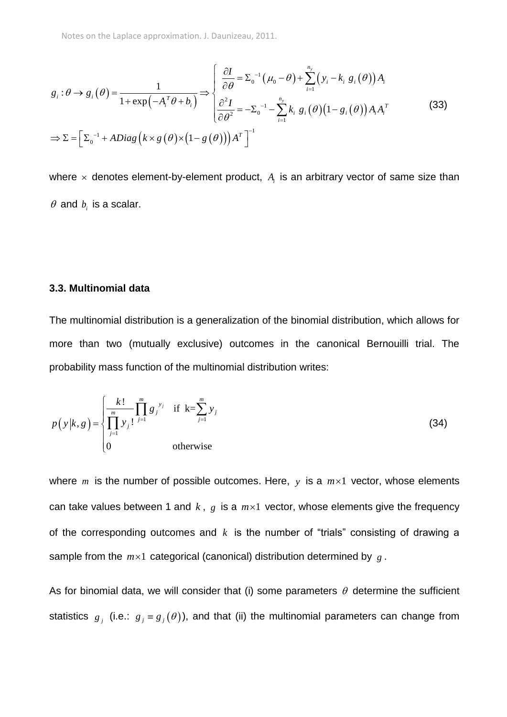Notes on the Laplace approximation. J. Daunizeau, 2011.

Notes on the Laplace approximation. J. Dannzeau, 2011.

\n
$$
g_i: \theta \to g_i(\theta) = \frac{1}{1 + \exp(-A_i^T \theta + b_i)} \Rightarrow \begin{cases} \frac{\partial I}{\partial \theta} = \Sigma_0^{-1} (\mu_0 - \theta) + \sum_{i=1}^{n_y} (y_i - k_i g_i(\theta)) A_i \\ \frac{\partial^2 I}{\partial \theta^2} = -\Sigma_0^{-1} - \sum_{i=1}^{n_y} k_i g_i(\theta) (1 - g_i(\theta)) A_i A_i^T \end{cases}
$$
\n
$$
\Rightarrow \Sigma = \left[ \Sigma_0^{-1} + ADiag\left(k \times g(\theta) \times (1 - g(\theta))\right) A^T \right]^{-1}
$$
\n(33)

where  $\times$  denotes element-by-element product,  $A_i$  is an arbitrary vector of same size than  $\theta$  and  $b_i$  is a scalar.

### **3.3. Multinomial data**

The multinomial distribution is a generalization of the binomial distribution, which allows for more than two (mutually exclusive) outcomes in the canonical Bernouilli trial. The probability mass function of the multinomial distribution writes:

$$
p(y|k, g) = \begin{cases} \frac{k!}{\prod_{j=1}^{m} y_j!} \prod_{j=1}^{m} g_j^{y_j} & \text{if } k = \sum_{j=1}^{m} y_j \\ 0 & \text{otherwise} \end{cases}
$$
(34)

where  $m$  is the number of possible outcomes. Here,  $y$  is a  $m \times 1$  vector, whose elements can take values between 1 and  $k$ ,  $g$  is a  $m \times 1$  vector, whose elements give the frequency of the corresponding outcomes and  $k$  is the number of "trials" consisting of drawing a sample from the  $m \times 1$  categorical (canonical) distribution determined by  $g$ .

As for binomial data, we will consider that (i) some parameters  $\theta$  determine the sufficient statistics  $g_j$  (i.e.:  $g_j = g_j(\theta)$ ), and that (ii) the multinomial parameters can change from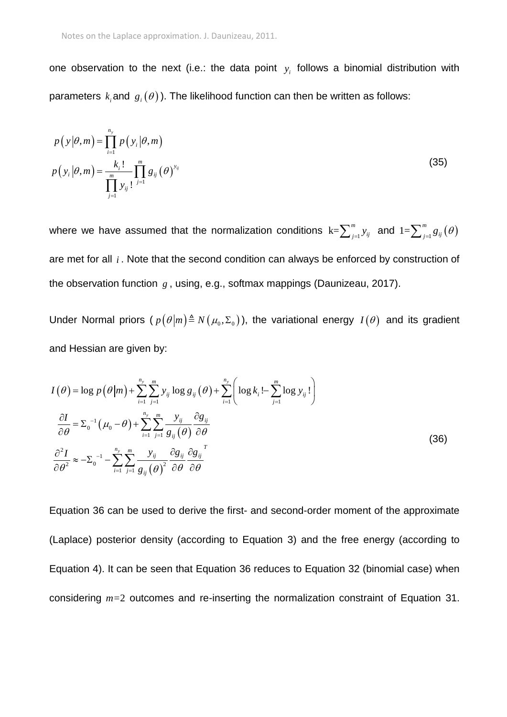one observation to the next (i.e.: the data point *i y* follows a binomial distribution with parameters  $\,k_{_{i}}$ and  $\,g_{_{i}}(\theta)\,$ ). The likelihood function can then be written as follows:

$$
p(y|\theta,m) = \prod_{i=1}^{n_y} p(y_i|\theta,m)
$$
  

$$
p(y_i|\theta,m) = \frac{k_i!}{\prod_{j=1}^{m} y_{ij}!} \prod_{j=1}^{m} g_{ij}(\theta)^{y_{ij}}
$$
 (35)

where we have assumed that the normalization conditions  $k=\sum_{j=1}^m y_{ij}$  and  $1=\sum_{j=1}^m g_{ij}(\theta)$ are met for all *i* . Note that the second condition can always be enforced by construction of the observation function *g* , using, e.g., softmax mappings (Daunizeau, 2017).

Under Normal priors ( $p(\theta|m) \triangleq N(\mu_0, \Sigma_0)$ ), the variational energy  $I(\theta)$  and its gradient and Hessian are given by:

and Hessian are given by:  
\n
$$
I(\theta) = \log p(\theta|m) + \sum_{i=1}^{n_y} \sum_{j=1}^{m} y_{ij} \log g_{ij}(\theta) + \sum_{i=1}^{n_y} \left( \log k_i - \sum_{j=1}^{m} \log y_{ij} \right)
$$
\n
$$
\frac{\partial I}{\partial \theta} = \sum_{0}^{n} (\mu_0 - \theta) + \sum_{i=1}^{n_y} \sum_{j=1}^{m} \frac{y_{ij}}{g_{ij}(\theta)} \frac{\partial g_{ij}}{\partial \theta}
$$
\n
$$
\frac{\partial^2 I}{\partial \theta^2} \approx -\sum_{0}^{n} -\sum_{i=1}^{n_y} \sum_{j=1}^{m} \frac{y_{ij}}{g_{ij}(\theta)} \frac{\partial g_{ij}}{\partial \theta} \frac{\partial g_{ij}}{\partial \theta}
$$
\n(36)

Equation 36 can be used to derive the first- and second-order moment of the approximate (Laplace) posterior density (according to Equation 3) and the free energy (according to Equation 4). It can be seen that Equation 36 reduces to Equation 32 (binomial case) when considering *m=*2 outcomes and re-inserting the normalization constraint of Equation 31.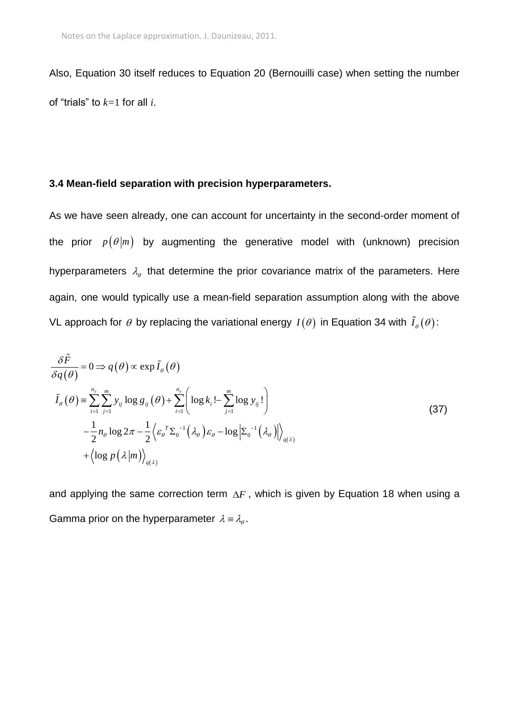Also, Equation 30 itself reduces to Equation 20 (Bernouilli case) when setting the number of "trials" to *k=*1 for all *i*.

### **3.4 Mean-field separation with precision hyperparameters.**

As we have seen already, one can account for uncertainty in the second-order moment of the prior  $p(\theta|m)$  by augmenting the generative model with (unknown) precision hyperparameters  $\lambda_{\theta}$  that determine the prior covariance matrix of the parameters. Here again, one would typically use a mean-field separation assumption along with the above VL approach for  $\theta$  by replacing the variational energy  $I(\theta)$  in Equation 34 with  $I_{\scriptscriptstyle{\theta}}(\theta)$ :

$$
\frac{\delta \tilde{F}}{\delta q(\theta)} = 0 \Rightarrow q(\theta) \propto \exp \tilde{I}_{\theta}(\theta)
$$
\n
$$
\tilde{I}_{\theta}(\theta) = \sum_{i=1}^{n_y} \sum_{j=1}^{m} y_{ij} \log g_{ij}(\theta) + \sum_{i=1}^{n_y} \left( \log k_i - \sum_{j=1}^{m} \log y_{ij} \right)
$$
\n
$$
-\frac{1}{2} n_{\theta} \log 2\pi - \frac{1}{2} \left\langle \varepsilon_{\theta}^T \Sigma_{0}^{-1}(\lambda_{\theta}) \varepsilon_{\theta} - \log \left| \Sigma_{0}^{-1}(\lambda_{\theta}) \right| \right\rangle_{q(\lambda)}
$$
\n
$$
+ \left\langle \log p(\lambda|m) \right\rangle_{q(\lambda)}
$$
\n(37)

and applying the same correction term  $\Delta F$ , which is given by Equation 18 when using a Gamma prior on the hyperparameter  $\lambda = \lambda_{\theta}$ .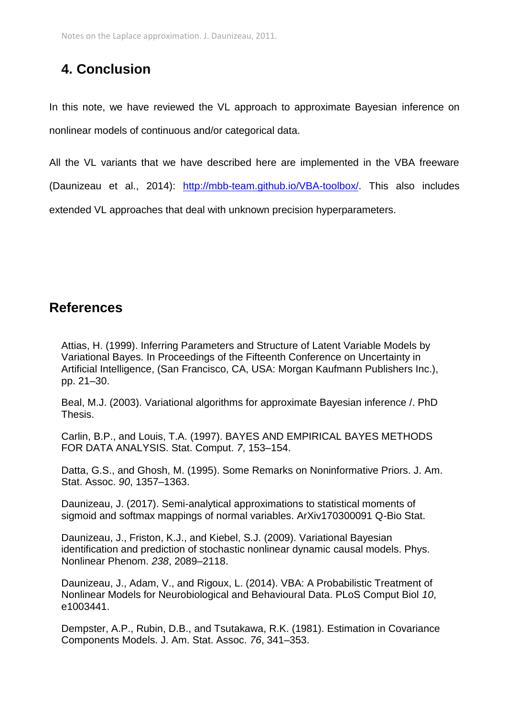## **4. Conclusion**

In this note, we have reviewed the VL approach to approximate Bayesian inference on nonlinear models of continuous and/or categorical data.

All the VL variants that we have described here are implemented in the VBA freeware (Daunizeau et al., 2014): [http://mbb-team.github.io/VBA-toolbox/.](http://mbb-team.github.io/VBA-toolbox/) This also includes extended VL approaches that deal with unknown precision hyperparameters.

### **References**

Attias, H. (1999). Inferring Parameters and Structure of Latent Variable Models by Variational Bayes. In Proceedings of the Fifteenth Conference on Uncertainty in Artificial Intelligence, (San Francisco, CA, USA: Morgan Kaufmann Publishers Inc.), pp. 21–30.

Beal, M.J. (2003). Variational algorithms for approximate Bayesian inference /. PhD Thesis.

Carlin, B.P., and Louis, T.A. (1997). BAYES AND EMPIRICAL BAYES METHODS FOR DATA ANALYSIS. Stat. Comput. *7*, 153–154.

Datta, G.S., and Ghosh, M. (1995). Some Remarks on Noninformative Priors. J. Am. Stat. Assoc. *90*, 1357–1363.

Daunizeau, J. (2017). Semi-analytical approximations to statistical moments of sigmoid and softmax mappings of normal variables. ArXiv170300091 Q-Bio Stat.

Daunizeau, J., Friston, K.J., and Kiebel, S.J. (2009). Variational Bayesian identification and prediction of stochastic nonlinear dynamic causal models. Phys. Nonlinear Phenom. *238*, 2089–2118.

Daunizeau, J., Adam, V., and Rigoux, L. (2014). VBA: A Probabilistic Treatment of Nonlinear Models for Neurobiological and Behavioural Data. PLoS Comput Biol *10*, e1003441.

Dempster, A.P., Rubin, D.B., and Tsutakawa, R.K. (1981). Estimation in Covariance Components Models. J. Am. Stat. Assoc. *76*, 341–353.